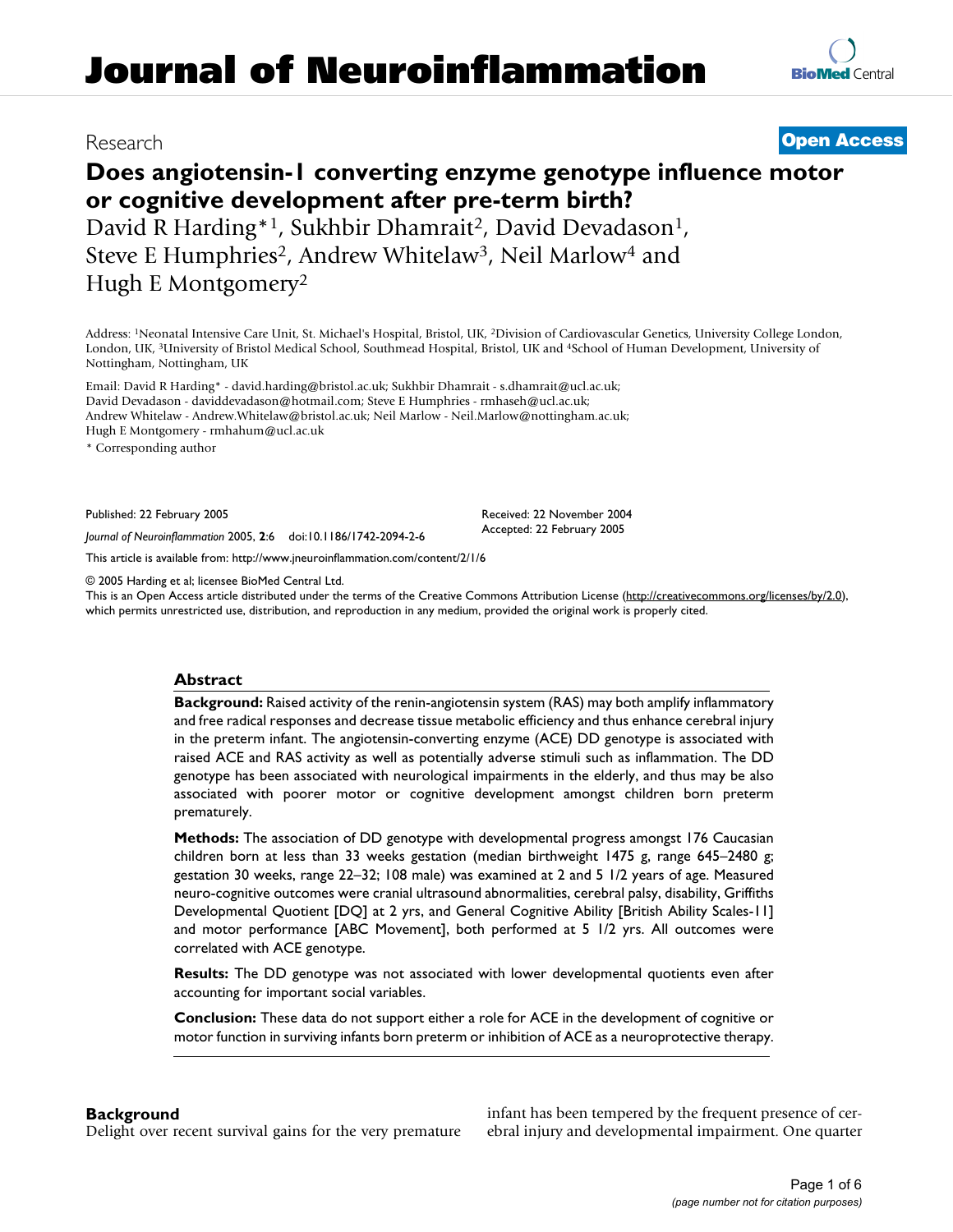# **Does angiotensin-1 converting enzyme genotype influence motor or cognitive development after pre-term birth?**

David R Harding\*<sup>1</sup>, Sukhbir Dhamrait<sup>2</sup>, David Devadason<sup>1</sup>, Steve E Humphries<sup>2</sup>, Andrew Whitelaw<sup>3</sup>, Neil Marlow<sup>4</sup> and Hugh E Montgomery2

Address: 1Neonatal Intensive Care Unit, St. Michael's Hospital, Bristol, UK, 2Division of Cardiovascular Genetics, University College London, London, UK, 3University of Bristol Medical School, Southmead Hospital, Bristol, UK and 4School of Human Development, University of Nottingham, Nottingham, UK

Email: David R Harding\* - david.harding@bristol.ac.uk; Sukhbir Dhamrait - s.dhamrait@ucl.ac.uk; David Devadason - daviddevadason@hotmail.com; Steve E Humphries - rmhaseh@ucl.ac.uk; Andrew Whitelaw - Andrew.Whitelaw@bristol.ac.uk; Neil Marlow - Neil.Marlow@nottingham.ac.uk; Hugh E Montgomery - rmhahum@ucl.ac.uk

\* Corresponding author

Published: 22 February 2005

*Journal of Neuroinflammation* 2005, **2**:6 doi:10.1186/1742-2094-2-6

[This article is available from: http://www.jneuroinflammation.com/content/2/1/6](http://www.jneuroinflammation.com/content/2/1/6)

© 2005 Harding et al; licensee BioMed Central Ltd.

This is an Open Access article distributed under the terms of the Creative Commons Attribution License [\(http://creativecommons.org/licenses/by/2.0\)](http://creativecommons.org/licenses/by/2.0), which permits unrestricted use, distribution, and reproduction in any medium, provided the original work is properly cited.

Received: 22 November 2004 Accepted: 22 February 2005

# **Abstract**

**Background:** Raised activity of the renin-angiotensin system (RAS) may both amplify inflammatory and free radical responses and decrease tissue metabolic efficiency and thus enhance cerebral injury in the preterm infant. The angiotensin-converting enzyme (ACE) DD genotype is associated with raised ACE and RAS activity as well as potentially adverse stimuli such as inflammation. The DD genotype has been associated with neurological impairments in the elderly, and thus may be also associated with poorer motor or cognitive development amongst children born preterm prematurely.

**Methods:** The association of DD genotype with developmental progress amongst 176 Caucasian children born at less than 33 weeks gestation (median birthweight 1475 g, range 645–2480 g; gestation 30 weeks, range 22–32; 108 male) was examined at 2 and 5 1/2 years of age. Measured neuro-cognitive outcomes were cranial ultrasound abnormalities, cerebral palsy, disability, Griffiths Developmental Quotient [DQ] at 2 yrs, and General Cognitive Ability [British Ability Scales-11] and motor performance [ABC Movement], both performed at 5 1/2 yrs. All outcomes were correlated with ACE genotype.

**Results:** The DD genotype was not associated with lower developmental quotients even after accounting for important social variables.

**Conclusion:** These data do not support either a role for ACE in the development of cognitive or motor function in surviving infants born preterm or inhibition of ACE as a neuroprotective therapy.

# **Background**

Delight over recent survival gains for the very premature

infant has been tempered by the frequent presence of cerebral injury and developmental impairment. One quarter



# Research **[Open Access](http://www.biomedcentral.com/info/about/charter/)**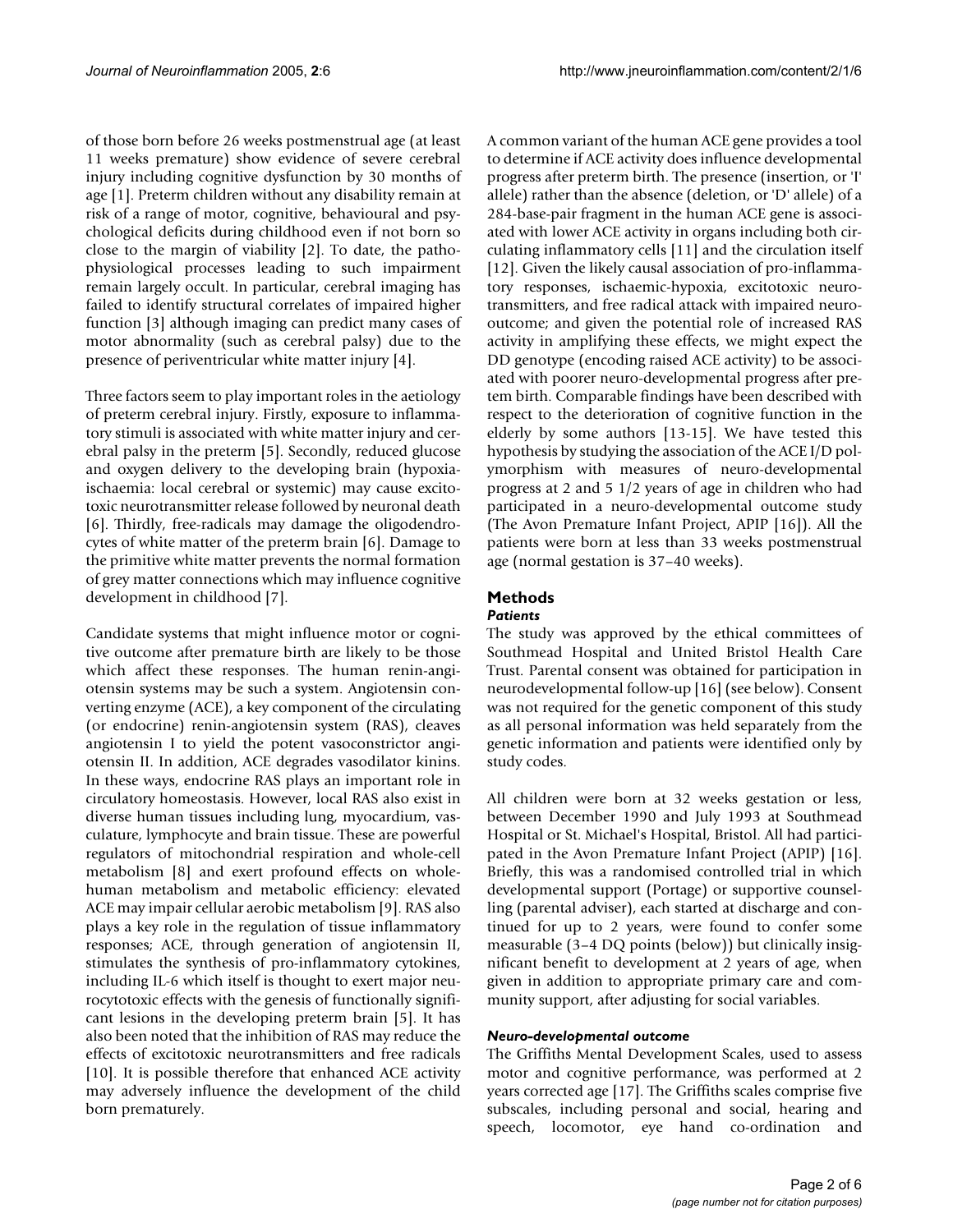of those born before 26 weeks postmenstrual age (at least 11 weeks premature) show evidence of severe cerebral injury including cognitive dysfunction by 30 months of age [1]. Preterm children without any disability remain at risk of a range of motor, cognitive, behavioural and psychological deficits during childhood even if not born so close to the margin of viability [2]. To date, the pathophysiological processes leading to such impairment remain largely occult. In particular, cerebral imaging has failed to identify structural correlates of impaired higher function [3] although imaging can predict many cases of motor abnormality (such as cerebral palsy) due to the presence of periventricular white matter injury [4].

Three factors seem to play important roles in the aetiology of preterm cerebral injury. Firstly, exposure to inflammatory stimuli is associated with white matter injury and cerebral palsy in the preterm [5]. Secondly, reduced glucose and oxygen delivery to the developing brain (hypoxiaischaemia: local cerebral or systemic) may cause excitotoxic neurotransmitter release followed by neuronal death [6]. Thirdly, free-radicals may damage the oligodendrocytes of white matter of the preterm brain [6]. Damage to the primitive white matter prevents the normal formation of grey matter connections which may influence cognitive development in childhood [7].

Candidate systems that might influence motor or cognitive outcome after premature birth are likely to be those which affect these responses. The human renin-angiotensin systems may be such a system. Angiotensin converting enzyme (ACE), a key component of the circulating (or endocrine) renin-angiotensin system (RAS), cleaves angiotensin I to yield the potent vasoconstrictor angiotensin II. In addition, ACE degrades vasodilator kinins. In these ways, endocrine RAS plays an important role in circulatory homeostasis. However, local RAS also exist in diverse human tissues including lung, myocardium, vasculature, lymphocyte and brain tissue. These are powerful regulators of mitochondrial respiration and whole-cell metabolism [8] and exert profound effects on wholehuman metabolism and metabolic efficiency: elevated ACE may impair cellular aerobic metabolism [9]. RAS also plays a key role in the regulation of tissue inflammatory responses; ACE, through generation of angiotensin II, stimulates the synthesis of pro-inflammatory cytokines, including IL-6 which itself is thought to exert major neurocytotoxic effects with the genesis of functionally significant lesions in the developing preterm brain [5]. It has also been noted that the inhibition of RAS may reduce the effects of excitotoxic neurotransmitters and free radicals [10]. It is possible therefore that enhanced ACE activity may adversely influence the development of the child born prematurely.

A common variant of the human ACE gene provides a tool to determine if ACE activity does influence developmental progress after preterm birth. The presence (insertion, or 'I' allele) rather than the absence (deletion, or 'D' allele) of a 284-base-pair fragment in the human ACE gene is associated with lower ACE activity in organs including both circulating inflammatory cells [11] and the circulation itself [12]. Given the likely causal association of pro-inflammatory responses, ischaemic-hypoxia, excitotoxic neurotransmitters, and free radical attack with impaired neurooutcome; and given the potential role of increased RAS activity in amplifying these effects, we might expect the DD genotype (encoding raised ACE activity) to be associated with poorer neuro-developmental progress after pretem birth. Comparable findings have been described with respect to the deterioration of cognitive function in the elderly by some authors [13-15]. We have tested this hypothesis by studying the association of the ACE I/D polymorphism with measures of neuro-developmental progress at 2 and 5 1/2 years of age in children who had participated in a neuro-developmental outcome study (The Avon Premature Infant Project, APIP [16]). All the patients were born at less than 33 weeks postmenstrual age (normal gestation is 37–40 weeks).

# **Methods**

# *Patients*

The study was approved by the ethical committees of Southmead Hospital and United Bristol Health Care Trust. Parental consent was obtained for participation in neurodevelopmental follow-up [16] (see below). Consent was not required for the genetic component of this study as all personal information was held separately from the genetic information and patients were identified only by study codes.

All children were born at 32 weeks gestation or less, between December 1990 and July 1993 at Southmead Hospital or St. Michael's Hospital, Bristol. All had participated in the Avon Premature Infant Project (APIP) [16]. Briefly, this was a randomised controlled trial in which developmental support (Portage) or supportive counselling (parental adviser), each started at discharge and continued for up to 2 years, were found to confer some measurable (3–4 DQ points (below)) but clinically insignificant benefit to development at 2 years of age, when given in addition to appropriate primary care and community support, after adjusting for social variables.

# *Neuro-developmental outcome*

The Griffiths Mental Development Scales, used to assess motor and cognitive performance, was performed at 2 years corrected age [17]. The Griffiths scales comprise five subscales, including personal and social, hearing and speech, locomotor, eye hand co-ordination and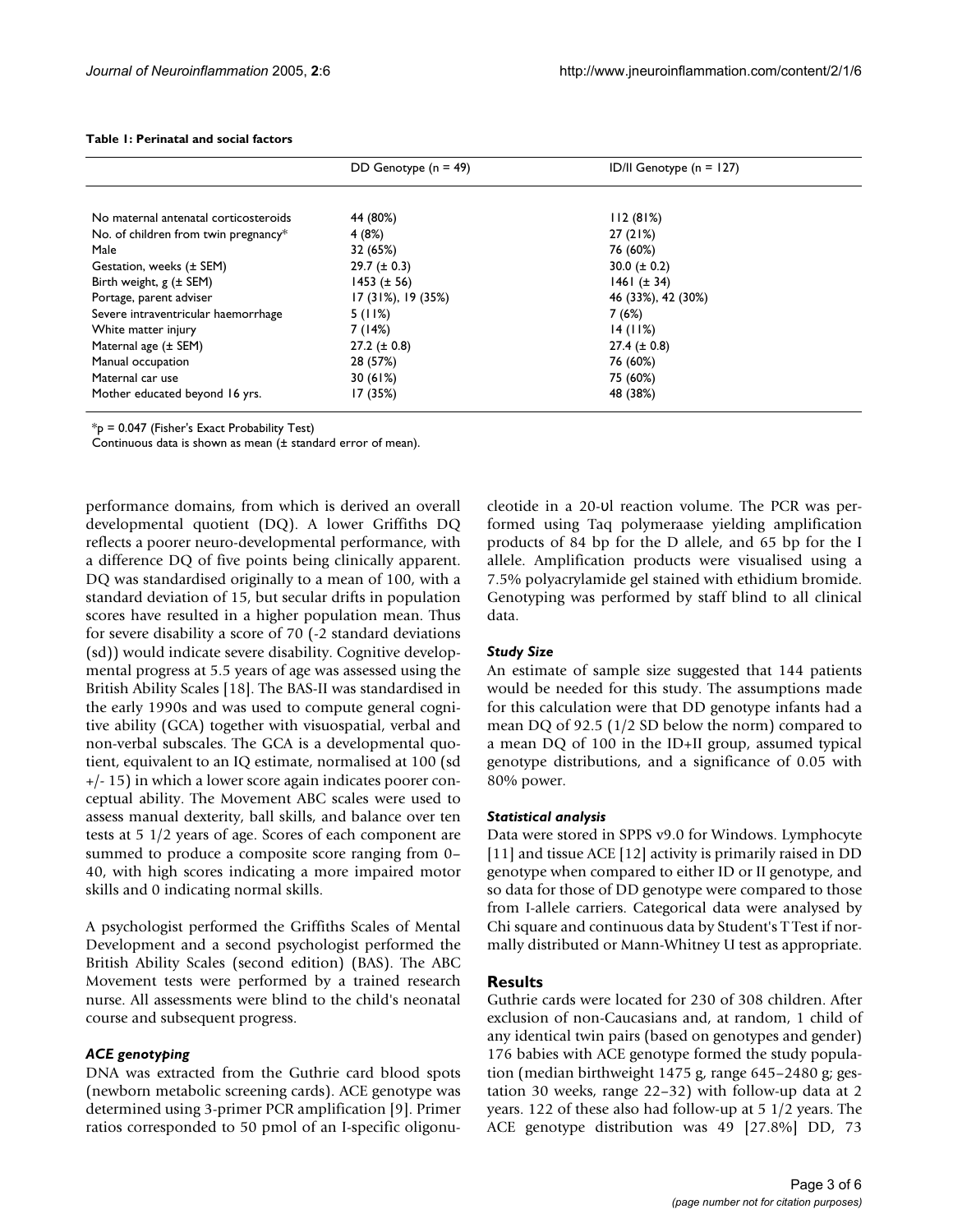|                                       | DD Genotype $(n = 49)$   | ID/II Genotype $(n = 127)$ |
|---------------------------------------|--------------------------|----------------------------|
|                                       |                          |                            |
| No maternal antenatal corticosteroids | 44 (80%)                 | 112(81%)                   |
| No. of children from twin pregnancy*  | 4(8%)                    | 27(21%)                    |
| Male                                  | 32 (65%)                 | 76 (60%)                   |
| Gestation, weeks $(\pm$ SEM)          | $29.7 (\pm 0.3)$         | 30.0 ( $\pm$ 0.2)          |
| Birth weight, $g$ ( $\pm$ SEM)        | $1453 (\pm 56)$          | $1461 (\pm 34)$            |
| Portage, parent adviser               | $17(31\%)$ , 19 $(35\%)$ | 46 (33%), 42 (30%)         |
| Severe intraventricular haemorrhage   | 5(11%)                   | 7(6%)                      |
| White matter injury                   | 7(14%)                   | 14(11%)                    |
| Maternal age $(\pm$ SEM)              | $27.2 (\pm 0.8)$         | $27.4 (\pm 0.8)$           |
| Manual occupation                     | 28 (57%)                 | 76 (60%)                   |
| Maternal car use                      | 30(61%)                  | 75 (60%)                   |
| Mother educated beyond 16 yrs.        | 17 (35%)                 | 48 (38%)                   |

#### <span id="page-2-0"></span>**Table 1: Perinatal and social factors**

\*p = 0.047 (Fisher's Exact Probability Test)

Continuous data is shown as mean (± standard error of mean).

performance domains, from which is derived an overall developmental quotient (DQ). A lower Griffiths DQ reflects a poorer neuro-developmental performance, with a difference DQ of five points being clinically apparent. DQ was standardised originally to a mean of 100, with a standard deviation of 15, but secular drifts in population scores have resulted in a higher population mean. Thus for severe disability a score of 70 (-2 standard deviations (sd)) would indicate severe disability. Cognitive developmental progress at 5.5 years of age was assessed using the British Ability Scales [18]. The BAS-II was standardised in the early 1990s and was used to compute general cognitive ability (GCA) together with visuospatial, verbal and non-verbal subscales. The GCA is a developmental quotient, equivalent to an IQ estimate, normalised at 100 (sd +/- 15) in which a lower score again indicates poorer conceptual ability. The Movement ABC scales were used to assess manual dexterity, ball skills, and balance over ten tests at 5 1/2 years of age. Scores of each component are summed to produce a composite score ranging from 0– 40, with high scores indicating a more impaired motor skills and 0 indicating normal skills.

A psychologist performed the Griffiths Scales of Mental Development and a second psychologist performed the British Ability Scales (second edition) (BAS). The ABC Movement tests were performed by a trained research nurse. All assessments were blind to the child's neonatal course and subsequent progress.

#### *ACE genotyping*

DNA was extracted from the Guthrie card blood spots (newborn metabolic screening cards). ACE genotype was determined using 3-primer PCR amplification [9]. Primer ratios corresponded to 50 pmol of an I-specific oligonucleotide in a 20-υl reaction volume. The PCR was performed using Taq polymeraase yielding amplification products of 84 bp for the D allele, and 65 bp for the I allele. Amplification products were visualised using a 7.5% polyacrylamide gel stained with ethidium bromide. Genotyping was performed by staff blind to all clinical data.

#### *Study Size*

An estimate of sample size suggested that 144 patients would be needed for this study. The assumptions made for this calculation were that DD genotype infants had a mean DQ of 92.5 (1/2 SD below the norm) compared to a mean DQ of 100 in the ID+II group, assumed typical genotype distributions, and a significance of 0.05 with 80% power.

#### *Statistical analysis*

Data were stored in SPPS v9.0 for Windows. Lymphocyte [11] and tissue ACE [12] activity is primarily raised in DD genotype when compared to either ID or II genotype, and so data for those of DD genotype were compared to those from I-allele carriers. Categorical data were analysed by Chi square and continuous data by Student's T Test if normally distributed or Mann-Whitney U test as appropriate.

### **Results**

Guthrie cards were located for 230 of 308 children. After exclusion of non-Caucasians and, at random, 1 child of any identical twin pairs (based on genotypes and gender) 176 babies with ACE genotype formed the study population (median birthweight 1475 g, range 645–2480 g; gestation 30 weeks, range 22–32) with follow-up data at 2 years. 122 of these also had follow-up at 5 1/2 years. The ACE genotype distribution was 49 [27.8%] DD, 73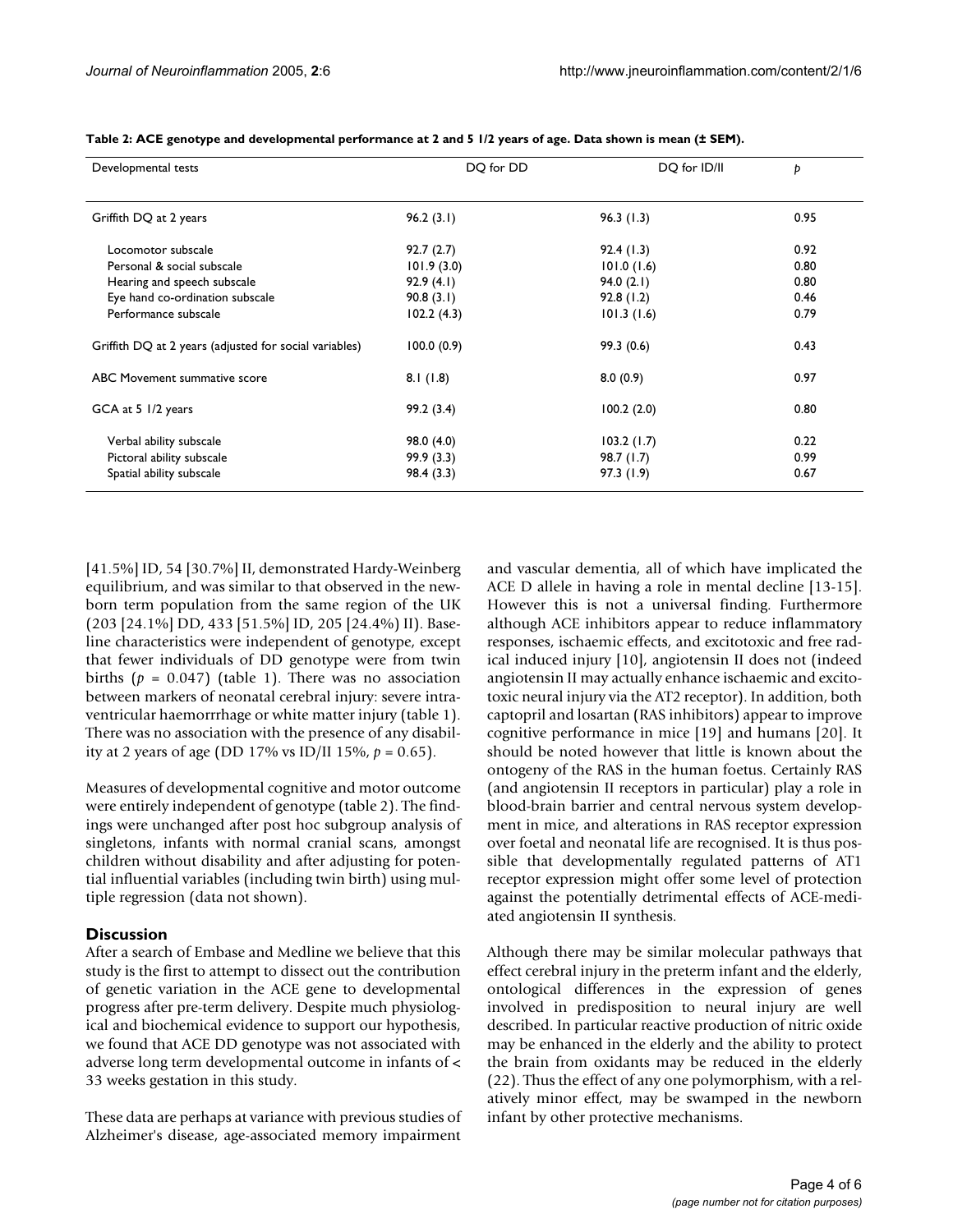| Developmental tests                                    | DQ for DD  | DO for ID/II | Þ    |
|--------------------------------------------------------|------------|--------------|------|
| Griffith DQ at 2 years                                 | 96.2(3.1)  | 96.3(1.3)    | 0.95 |
| Locomotor subscale                                     | 92.7(2.7)  | 92.4(1.3)    | 0.92 |
| Personal & social subscale                             | 101.9(3.0) | 101.0(1.6)   | 0.80 |
| Hearing and speech subscale                            | 92.9(4.1)  | 94.0(2.1)    | 0.80 |
| Eye hand co-ordination subscale                        | 90.8(3.1)  | 92.8(1.2)    | 0.46 |
| Performance subscale                                   | 102.2(4.3) | 101.3(1.6)   | 0.79 |
| Griffith DQ at 2 years (adjusted for social variables) | 100.0(0.9) | 99.3(0.6)    | 0.43 |
| ABC Movement summative score                           | 8.1(1.8)   | 8.0(0.9)     | 0.97 |
| GCA at 5 1/2 years                                     | 99.2(3.4)  | 100.2(2.0)   | 0.80 |
| Verbal ability subscale                                | 98.0 (4.0) | 103.2(1.7)   | 0.22 |
| Pictoral ability subscale                              | 99.9(3.3)  | 98.7(1.7)    | 0.99 |
| Spatial ability subscale                               | 98.4 (3.3) | 97.3(1.9)    | 0.67 |

<span id="page-3-0"></span>**Table 2: ACE genotype and developmental performance at 2 and 5 1/2 years of age. Data shown is mean (± SEM).**

[41.5%] ID, 54 [30.7%] II, demonstrated Hardy-Weinberg equilibrium, and was similar to that observed in the newborn term population from the same region of the UK (203 [24.1%] DD, 433 [51.5%] ID, 205 [24.4%) II). Baseline characteristics were independent of genotype, except that fewer individuals of DD genotype were from twin births  $(p = 0.047)$  (table [1](#page-2-0)). There was no association between markers of neonatal cerebral injury: severe intraventricular haemorrrhage or white matter injury (table [1\)](#page-2-0). There was no association with the presence of any disability at 2 years of age (DD 17% vs ID/II 15%,  $p = 0.65$ ).

Measures of developmental cognitive and motor outcome were entirely independent of genotype (table [2\)](#page-3-0). The findings were unchanged after post hoc subgroup analysis of singletons, infants with normal cranial scans, amongst children without disability and after adjusting for potential influential variables (including twin birth) using multiple regression (data not shown).

# **Discussion**

After a search of Embase and Medline we believe that this study is the first to attempt to dissect out the contribution of genetic variation in the ACE gene to developmental progress after pre-term delivery. Despite much physiological and biochemical evidence to support our hypothesis, we found that ACE DD genotype was not associated with adverse long term developmental outcome in infants of < 33 weeks gestation in this study.

These data are perhaps at variance with previous studies of Alzheimer's disease, age-associated memory impairment and vascular dementia, all of which have implicated the ACE D allele in having a role in mental decline [13-15]. However this is not a universal finding. Furthermore although ACE inhibitors appear to reduce inflammatory responses, ischaemic effects, and excitotoxic and free radical induced injury [10], angiotensin II does not (indeed angiotensin II may actually enhance ischaemic and excitotoxic neural injury via the AT2 receptor). In addition, both captopril and losartan (RAS inhibitors) appear to improve cognitive performance in mice [19] and humans [20]. It should be noted however that little is known about the ontogeny of the RAS in the human foetus. Certainly RAS (and angiotensin II receptors in particular) play a role in blood-brain barrier and central nervous system development in mice, and alterations in RAS receptor expression over foetal and neonatal life are recognised. It is thus possible that developmentally regulated patterns of AT1 receptor expression might offer some level of protection against the potentially detrimental effects of ACE-mediated angiotensin II synthesis.

Although there may be similar molecular pathways that effect cerebral injury in the preterm infant and the elderly, ontological differences in the expression of genes involved in predisposition to neural injury are well described. In particular reactive production of nitric oxide may be enhanced in the elderly and the ability to protect the brain from oxidants may be reduced in the elderly (22). Thus the effect of any one polymorphism, with a relatively minor effect, may be swamped in the newborn infant by other protective mechanisms.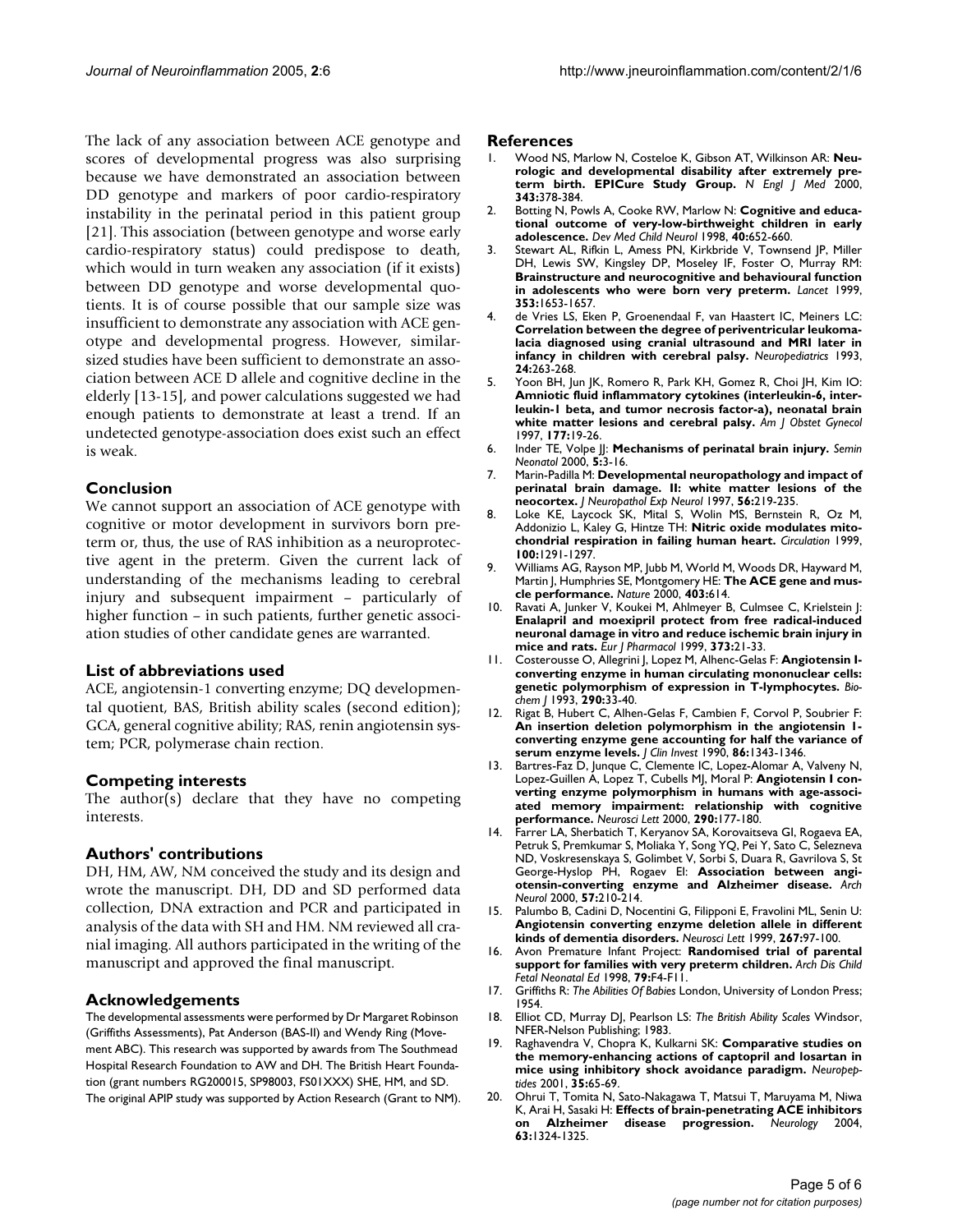The lack of any association between ACE genotype and scores of developmental progress was also surprising because we have demonstrated an association between DD genotype and markers of poor cardio-respiratory instability in the perinatal period in this patient group [21]. This association (between genotype and worse early cardio-respiratory status) could predispose to death, which would in turn weaken any association (if it exists) between DD genotype and worse developmental quotients. It is of course possible that our sample size was insufficient to demonstrate any association with ACE genotype and developmental progress. However, similarsized studies have been sufficient to demonstrate an association between ACE D allele and cognitive decline in the elderly [13-15], and power calculations suggested we had enough patients to demonstrate at least a trend. If an undetected genotype-association does exist such an effect is weak.

# **Conclusion**

We cannot support an association of ACE genotype with cognitive or motor development in survivors born preterm or, thus, the use of RAS inhibition as a neuroprotective agent in the preterm. Given the current lack of understanding of the mechanisms leading to cerebral injury and subsequent impairment – particularly of higher function – in such patients, further genetic association studies of other candidate genes are warranted.

### **List of abbreviations used**

ACE, angiotensin-1 converting enzyme; DQ developmental quotient, BAS, British ability scales (second edition); GCA, general cognitive ability; RAS, renin angiotensin system; PCR, polymerase chain rection.

### **Competing interests**

The author(s) declare that they have no competing interests.

### **Authors' contributions**

DH, HM, AW, NM conceived the study and its design and wrote the manuscript. DH, DD and SD performed data collection, DNA extraction and PCR and participated in analysis of the data with SH and HM. NM reviewed all cranial imaging. All authors participated in the writing of the manuscript and approved the final manuscript.

### **Acknowledgements**

The developmental assessments were performed by Dr Margaret Robinson (Griffiths Assessments), Pat Anderson (BAS-II) and Wendy Ring (Movement ABC). This research was supported by awards from The Southmead Hospital Research Foundation to AW and DH. The British Heart Foundation (grant numbers RG200015, SP98003, FS01XXX) SHE, HM, and SD. The original APIP study was supported by Action Research (Grant to NM).

#### **References**

- 1. Wood NS, Marlow N, Costeloe K, Gibson AT, Wilkinson AR: **[Neu](http://www.ncbi.nlm.nih.gov/entrez/query.fcgi?cmd=Retrieve&db=PubMed&dopt=Abstract&list_uids=10933736)[rologic and developmental disability after extremely pre](http://www.ncbi.nlm.nih.gov/entrez/query.fcgi?cmd=Retrieve&db=PubMed&dopt=Abstract&list_uids=10933736)[term birth. EPICure Study Group.](http://www.ncbi.nlm.nih.gov/entrez/query.fcgi?cmd=Retrieve&db=PubMed&dopt=Abstract&list_uids=10933736)** *N Engl J Med* 2000, **343:**378-384.
- 2. Botting N, Powls A, Cooke RW, Marlow N: **[Cognitive and educa](http://www.ncbi.nlm.nih.gov/entrez/query.fcgi?cmd=Retrieve&db=PubMed&dopt=Abstract&list_uids=9851233)[tional outcome of very-low-birthweight children in early](http://www.ncbi.nlm.nih.gov/entrez/query.fcgi?cmd=Retrieve&db=PubMed&dopt=Abstract&list_uids=9851233) [adolescence.](http://www.ncbi.nlm.nih.gov/entrez/query.fcgi?cmd=Retrieve&db=PubMed&dopt=Abstract&list_uids=9851233)** *Dev Med Child Neurol* 1998, **40:**652-660.
- 3. Stewart AL, Rifkin L, Amess PN, Kirkbride V, Townsend JP, Miller DH, Lewis SW, Kingsley DP, Moseley IF, Foster O, Murray RM: **[Brainstructure and neurocognitive and behavioural function](http://www.ncbi.nlm.nih.gov/entrez/query.fcgi?cmd=Retrieve&db=PubMed&dopt=Abstract&list_uids=10335784) [in adolescents who were born very preterm.](http://www.ncbi.nlm.nih.gov/entrez/query.fcgi?cmd=Retrieve&db=PubMed&dopt=Abstract&list_uids=10335784)** *Lancet* 1999, **353:**1653-1657.
- 4. de Vries LS, Eken P, Groenendaal F, van Haastert IC, Meiners LC: **[Correlation between the degree of periventricular leukoma](http://www.ncbi.nlm.nih.gov/entrez/query.fcgi?cmd=Retrieve&db=PubMed&dopt=Abstract&list_uids=8309515)lacia diagnosed using cranial ultrasound and MRI later in [infancy in children with cerebral palsy.](http://www.ncbi.nlm.nih.gov/entrez/query.fcgi?cmd=Retrieve&db=PubMed&dopt=Abstract&list_uids=8309515)** *Neuropediatrics* 1993, **24:**263-268.
- 5. Yoon BH, Jun JK, Romero R, Park KH, Gomez R, Choi JH, Kim IO: **Amniotic fluid inflammatory cytokines (interleukin-6, inter[leukin-1 beta, and tumor necrosis factor-a\), neonatal brain](http://www.ncbi.nlm.nih.gov/entrez/query.fcgi?cmd=Retrieve&db=PubMed&dopt=Abstract&list_uids=9240577) [white matter lesions and cerebral palsy.](http://www.ncbi.nlm.nih.gov/entrez/query.fcgi?cmd=Retrieve&db=PubMed&dopt=Abstract&list_uids=9240577)** *Am J Obstet Gynecol* 1997, **177:**19-26.
- 6. Inder TE, Volpe JJ: **[Mechanisms of perinatal brain injury.](http://www.ncbi.nlm.nih.gov/entrez/query.fcgi?cmd=Retrieve&db=PubMed&dopt=Abstract&list_uids=10802746)** *Semin Neonatol* 2000, **5:**3-16.
- 7. Marin-Padilla M: **[Developmental neuropathology and impact of](http://www.ncbi.nlm.nih.gov/entrez/query.fcgi?cmd=Retrieve&db=PubMed&dopt=Abstract&list_uids=9056536) [perinatal brain damage. II: white matter lesions of the](http://www.ncbi.nlm.nih.gov/entrez/query.fcgi?cmd=Retrieve&db=PubMed&dopt=Abstract&list_uids=9056536) [neocortex.](http://www.ncbi.nlm.nih.gov/entrez/query.fcgi?cmd=Retrieve&db=PubMed&dopt=Abstract&list_uids=9056536)** *J Neuropathol Exp Neurol* 1997, **56:**219-235.
- 8. Loke KE, Laycock SK, Mital S, Wolin MS, Bernstein R, Oz M, Addonizio L, Kaley G, Hintze TH: **[Nitric oxide modulates mito](http://www.ncbi.nlm.nih.gov/entrez/query.fcgi?cmd=Retrieve&db=PubMed&dopt=Abstract&list_uids=10491373)[chondrial respiration in failing human heart.](http://www.ncbi.nlm.nih.gov/entrez/query.fcgi?cmd=Retrieve&db=PubMed&dopt=Abstract&list_uids=10491373)** *Circulation* 1999, **100:**1291-1297.
- 9. Williams AG, Rayson MP, Jubb M, World M, Woods DR, Hayward M, Martin J, Humphries SE, Montgomery HE: **[The ACE gene and mus](http://www.ncbi.nlm.nih.gov/entrez/query.fcgi?cmd=Retrieve&db=PubMed&dopt=Abstract&list_uids=10688186)[cle performance.](http://www.ncbi.nlm.nih.gov/entrez/query.fcgi?cmd=Retrieve&db=PubMed&dopt=Abstract&list_uids=10688186)** *Nature* 2000, **403:**614.
- 10. Ravati A, Junker V, Koukei M, Ahlmeyer B, Culmsee C, Krielstein J: **[Enalapril and moexipril protect from free radical-induced](http://www.ncbi.nlm.nih.gov/entrez/query.fcgi?cmd=Retrieve&db=PubMed&dopt=Abstract&list_uids=10408248) neuronal damage in vitro and reduce ischemic brain injury in [mice and rats.](http://www.ncbi.nlm.nih.gov/entrez/query.fcgi?cmd=Retrieve&db=PubMed&dopt=Abstract&list_uids=10408248)** *Eur J Pharmacol* 1999, **373:**21-33.
- 11. Costerousse O, Allegrini J, Lopez M, Alhenc-Gelas F: **[Angiotensin I](http://www.ncbi.nlm.nih.gov/entrez/query.fcgi?cmd=Retrieve&db=PubMed&dopt=Abstract&list_uids=8382480)[converting enzyme in human circulating mononuclear cells:](http://www.ncbi.nlm.nih.gov/entrez/query.fcgi?cmd=Retrieve&db=PubMed&dopt=Abstract&list_uids=8382480) [genetic polymorphism of expression in T-lymphocytes.](http://www.ncbi.nlm.nih.gov/entrez/query.fcgi?cmd=Retrieve&db=PubMed&dopt=Abstract&list_uids=8382480)** *Biochem J* 1993, **290:**33-40.
- 12. Rigat B, Hubert C, Alhen-Gelas F, Cambien F, Corvol P, Soubrier F: **[An insertion deletion polymorphism in the angiotensin 1](http://www.ncbi.nlm.nih.gov/entrez/query.fcgi?cmd=Retrieve&db=PubMed&dopt=Abstract&list_uids=1976655) converting enzyme gene accounting for half the variance of [serum enzyme levels.](http://www.ncbi.nlm.nih.gov/entrez/query.fcgi?cmd=Retrieve&db=PubMed&dopt=Abstract&list_uids=1976655)** *J Clin Invest* 1990, **86:**1343-1346.
- 13. Bartres-Faz D, Junque C, Clemente IC, Lopez-Alomar A, Valveny N, Lopez-Guillen A, Lopez T, Cubells MJ, Moral P: **[Angiotensin I con](http://www.ncbi.nlm.nih.gov/entrez/query.fcgi?cmd=Retrieve&db=PubMed&dopt=Abstract&list_uids=10963892)[verting enzyme polymorphism in humans with age-associ](http://www.ncbi.nlm.nih.gov/entrez/query.fcgi?cmd=Retrieve&db=PubMed&dopt=Abstract&list_uids=10963892)ated memory impairment: relationship with cognitive [performance.](http://www.ncbi.nlm.nih.gov/entrez/query.fcgi?cmd=Retrieve&db=PubMed&dopt=Abstract&list_uids=10963892)** *Neurosci Lett* 2000, **290:**177-180.
- 14. Farrer LA, Sherbatich T, Keryanov SA, Korovaitseva GI, Rogaeva EA, Petruk S, Premkumar S, Moliaka Y, Song YQ, Pei Y, Sato C, Selezneva ND, Voskresenskaya S, Golimbet V, Sorbi S, Duara R, Gavrilova S, St George-Hyslop PH, Rogaev EI: **[Association between angi](http://www.ncbi.nlm.nih.gov/entrez/query.fcgi?cmd=Retrieve&db=PubMed&dopt=Abstract&list_uids=10681079)[otensin-converting enzyme and Alzheimer disease.](http://www.ncbi.nlm.nih.gov/entrez/query.fcgi?cmd=Retrieve&db=PubMed&dopt=Abstract&list_uids=10681079)** *Arch Neurol* 2000, **57:**210-214.
- 15. Palumbo B, Cadini D, Nocentini G, Filipponi E, Fravolini ML, Senin U: **[Angiotensin converting enzyme deletion allele in different](http://www.ncbi.nlm.nih.gov/entrez/query.fcgi?cmd=Retrieve&db=PubMed&dopt=Abstract&list_uids=10400221) [kinds of dementia disorders.](http://www.ncbi.nlm.nih.gov/entrez/query.fcgi?cmd=Retrieve&db=PubMed&dopt=Abstract&list_uids=10400221)** *Neurosci Lett* 1999, **267:**97-100.
- 16. Avon Premature Infant Project: **[Randomised trial of parental](http://www.ncbi.nlm.nih.gov/entrez/query.fcgi?cmd=Retrieve&db=PubMed&dopt=Abstract&list_uids=9797618) [support for families with very preterm children.](http://www.ncbi.nlm.nih.gov/entrez/query.fcgi?cmd=Retrieve&db=PubMed&dopt=Abstract&list_uids=9797618)** *Arch Dis Child Fetal Neonatal Ed* 1998, **79:**F4-F11.
- 17. Griffiths R: *The Abilities Of Babies* London, University of London Press; 1954.
- 18. Elliot CD, Murray DJ, Pearlson LS: *The British Ability Scales* Windsor, NFER-Nelson Publishing; 1983.
- 19. Raghavendra V, Chopra K, Kulkarni SK: **[Comparative studies on](http://www.ncbi.nlm.nih.gov/entrez/query.fcgi?cmd=Retrieve&db=PubMed&dopt=Abstract&list_uids=11346312) [the memory-enhancing actions of captopril and losartan in](http://www.ncbi.nlm.nih.gov/entrez/query.fcgi?cmd=Retrieve&db=PubMed&dopt=Abstract&list_uids=11346312) [mice using inhibitory shock avoidance paradigm.](http://www.ncbi.nlm.nih.gov/entrez/query.fcgi?cmd=Retrieve&db=PubMed&dopt=Abstract&list_uids=11346312)** *Neuropeptides* 2001, **35:**65-69.
- 20. Ohrui T, Tomita N, Sato-Nakagawa T, Matsui T, Maruyama M, Niwa K, Arai H, Sasaki H: **[Effects of brain-penetrating ACE inhibitors](http://www.ncbi.nlm.nih.gov/entrez/query.fcgi?cmd=Retrieve&db=PubMed&dopt=Abstract&list_uids=15477567) [on Alzheimer disease progression.](http://www.ncbi.nlm.nih.gov/entrez/query.fcgi?cmd=Retrieve&db=PubMed&dopt=Abstract&list_uids=15477567)** *Neurology* 2004, **63:**1324-1325.